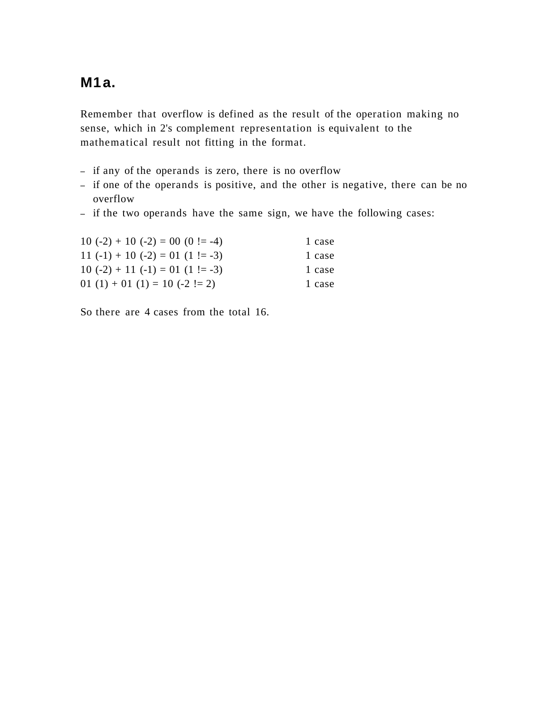# **M1a.**

Remember that overflow is defined as the result of the operation making no sense, which in 2's complement representation is equivalent to the mathematical result not fitting in the format.

- if any of the operands is zero, there is no overflow
- if one of the operands is positive, and the other is negative, there can be no overflow
- if the two operands have the same sign, we have the following cases:

| $10(-2) + 10(-2) = 00(0! = -4)$    | 1 case |
|------------------------------------|--------|
| 11 $(-1) + 10 (-2) = 01 (1! = -3)$ | 1 case |
| $10(-2) + 11(-1) = 01(1! = -3)$    | 1 case |
| 01 (1) + 01 (1) = 10 (-2 != 2)     | 1 case |

So there are 4 cases from the total 16.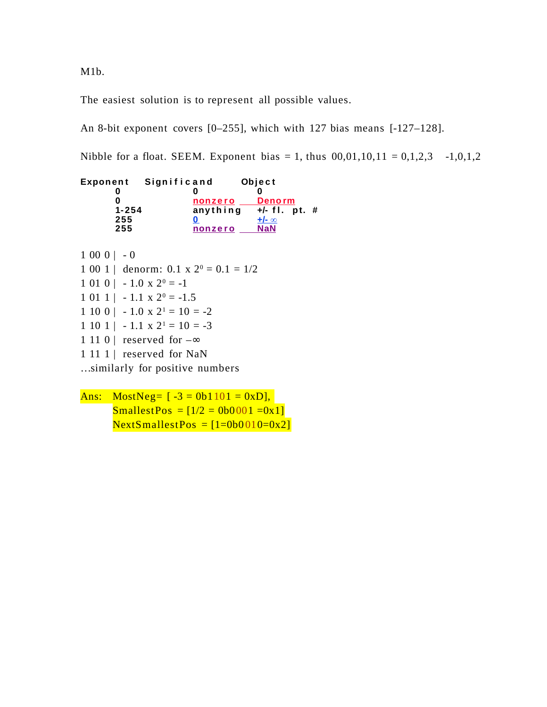M1b.

The easiest solution is to represent all possible values.

An 8-bit exponent covers [0–255], which with 127 bias means [-127–128].

Nibble for a float. SEEM. Exponent bias = 1, thus  $00,01,10,11 = 0,1,2,3 -1,0,1,2$ 

| Exponent  | Significand | Object          |  |
|-----------|-------------|-----------------|--|
|           |             |                 |  |
|           | nonzero     | <b>Denorm</b>   |  |
| $1 - 254$ | anything    | $+/-$ fl. pt. # |  |
| 255       |             | $+/- \infty$    |  |
| 255       | nonzero     | <b>NaN</b>      |  |
|           |             |                 |  |

 $1\ 00\ 0$  | -0  $1\,00\,1$  | denorm:  $0.1 \times 2^0 = 0.1 = 1/2$  $1\,01\,0$  |  $-1.0$  x  $2^0$  =  $-1$  $1 \t01 \t1 \t- 1.1 \t x \t2^0 = -1.5$  $1\ 10\ 0$  |  $-1.0$  x  $2^1 = 10 = -2$  $1\ 10\ 1$  |  $-1.1$  x  $2^1 = 10 = -3$ 1 11 0 | reserved for  $-\infty$ 1 11 1 | reserved for NaN …similarly for positive numbers

Ans: MostNeg=  $[-3 = 0b1101 = 0xD],$ SmallestPos =  $[1/2 = 0b0001 = 0x1]$  $NextSmallestPos = [1=0b0010=0x2]$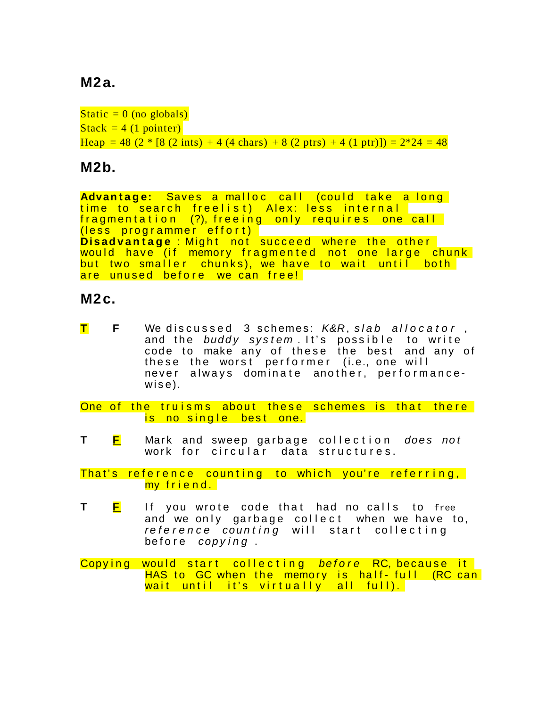# **M2a.**

```
Static = 0 (no globals)
Stack = 4 (1 pointer)Heap = 48 (2 * [8 (2 ints) + 4 (4 chars) + 8 (2 ptrs) + 4 (1 ptr)]) = 2*24 = 48
```
### **M2b.**

**Advantage:** Saves a malloc call (could take a long time to search freelist) Alex: less internal fragmentation (?), freeing only requires one call (less programmer effort) **Disadvantage**: Might not succeed where the other would have (if memory fragmented not one large chunk but two smaller chunks), we have to wait until both are unused before we can free!

#### **M2c.**

 $\tt{\color{red}I}$  **F** We discussed 3 schemes: K&R, slab allocator , and the buddy system. It's possible to write code to make any of these the best and any of these the worst performer (i.e., one will never always dominate another, performance $wise$ ).

One of the truisms about these schemes is that there is no single best one.

**T** F Mark and sweep garbage collection *does not* work for circular data structures.

That's reference counting to which you're referring, my friend.

**T F** If you wrote code that had no calls to free and we only garbage collect when we have to, reference counting will start collecting before copying.

Copying would start collecting before RC, because it HAS to GC when the memory is half-full (RC can wait until it's virtually all full).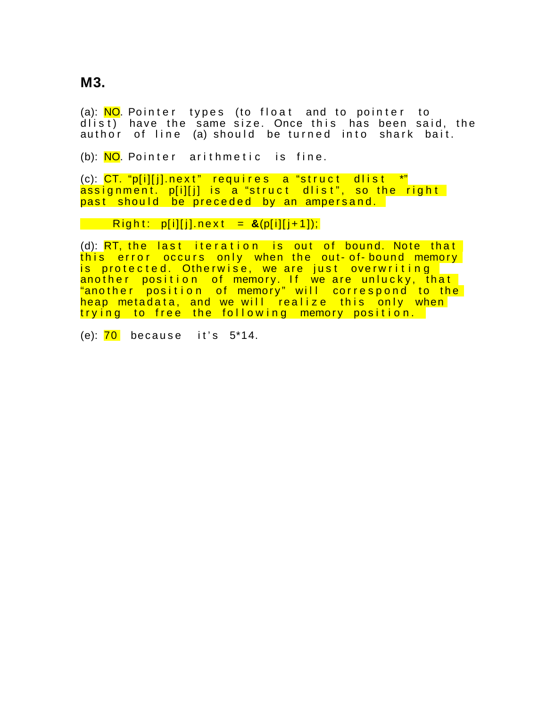**M3.**

(a): <mark>NO</mark>. Pointer types (to float and to pointer to  $diff$ ) have the same size. Once this has been said, the author of line (a) should be turned into shark bait.

(b): NO. Pointer arithmetic is fine.

 $(c)$ : CT. "p[i][j].next" requires a "struct dlist \*"  $\overline{\text{assignment}}$  p[i][j] is a "struct dlist", so the right past should be preceded by an ampersand.

#### **Right: p[i][j].next = &(p[i][j+1]);**

(d):  $RT$ , the last iteration is out of bound. Note that this error occurs only when the out-of-bound memory is protected. Otherwise, we are just overwriting another position of memory. If we are unlucky, that "another position of memory" will correspond to the heap metadata, and we will realize this only when trying to free the following memory position.

(e):  $\overline{70}$  because it's  $5*14$ .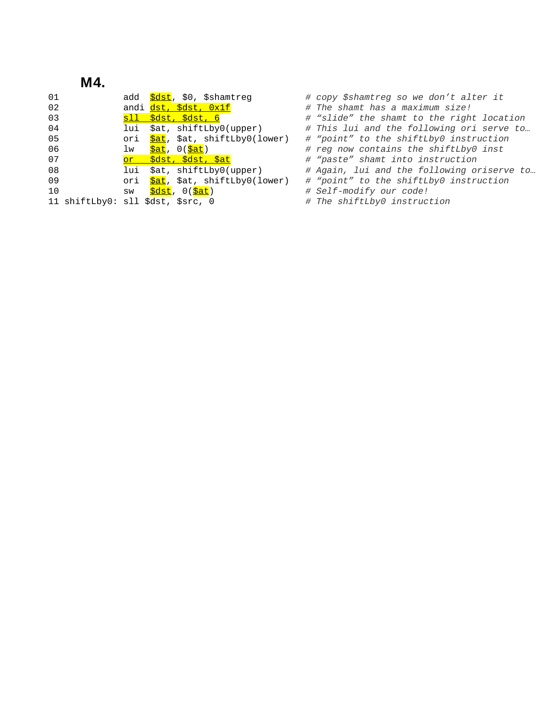# **M4.**

| 01              | add <mark>\$dst</mark> , \$0, \$shamtreg       | # copy \$shamtreg so we don't alter it                                |
|-----------------|------------------------------------------------|-----------------------------------------------------------------------|
| 02              | andi <i>dst, \$dst, 0x1f</i>                   | # The shamt has a maximum size!                                       |
| 03              | sll \$dst, \$dst, 6                            | # "slide" the shamt to the right location                             |
| 04              | lui \$at, shiftLby0(upper)                     | # This lui and the following ori serve to                             |
| 05              |                                                | ori Sat, Sat, shiftLby0(lower) # "point" to the shiftLby0 instruction |
| 06              | lw <mark>\$at</mark> , O( <mark>\$at</mark> )  | # reg now contains the shiftLby0 inst                                 |
| 07              | <u>or \$dst, \$dst, \$at</u>                   | # "paste" shamt into instruction                                      |
| 08              | lui \$at, shiftLby0(upper)                     | # Again, lui and the following oriserve to                            |
| 09              | ori Sat, Sat, shiftLby0(lower)                 | # "point" to the shiftLby0 instruction                                |
| 10 <sup>°</sup> | sw <mark>\$dst</mark> , O( <mark>\$at</mark> ) | # Self-modify our code!                                               |
|                 | 11 shiftLby0: sll \$dst, \$src, 0              | # The shiftLby0 instruction                                           |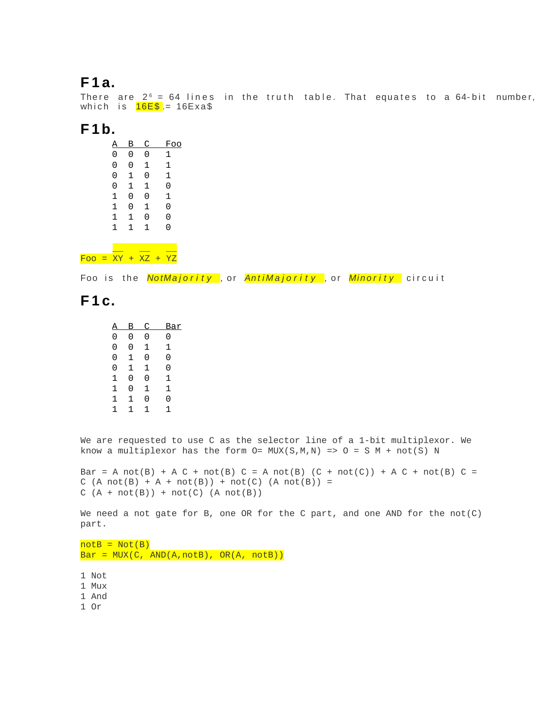### **F 1 a.**

There are 2 $^{\circ}$  = 64 lines in the truth table. That equates to a 64-bit number, which is  $16E$  = 16Exa\$

#### **F 1b.**

| А | В | C            | Foo |
|---|---|--------------|-----|
| 0 | 0 | 0            | 1   |
| 0 | 0 | 1            | 1   |
| 0 | 1 | 0            | 1   |
| 0 | 1 | 1            | 0   |
| 1 | 0 | 0            | 1   |
| 1 | 0 | 1            | 0   |
| 1 | 1 | 0            | 0   |
| 1 | 1 | $\mathbf{1}$ | 0   |
|   |   |              |     |

 $\equiv$   $\equiv$   $\equiv$ Foo = XY + XZ + YZ

Foo is the *NotMajority* , or *AntiMajority* , or *Minority* circuit

### **F 1 c.**

| А | в | C | Bar |
|---|---|---|-----|
| 0 | 0 | 0 | 0   |
| 0 | 0 | 1 | 1   |
| 0 | 1 | 0 | 0   |
| 0 | 1 | 1 | 0   |
| 1 | 0 | 0 | 1   |
| 1 | 0 | 1 | 1   |
| 1 | 1 | 0 | 0   |
| 1 | 1 | 1 | 1   |

We are requested to use C as the selector line of a 1-bit multiplexor. We know a multiplexor has the form  $O= MUX(S,M,N) \implies O = S M + not(S) N$ 

Bar = A not(B) + A C + not(B) C = A not(B) (C + not(C)) + A C + not(B) C =  $C (A not(B) + A + not(B)) + not(C) (A not(B)) =$  $C (A + not(B)) + not(C) (A not(B))$ 

We need a not gate for B, one OR for the C part, and one AND for the  $not(C)$ part.

 $notB = Not(B)$  $Bar = MUX(C, AND(A, notB), OR(A, notB))$ 

1 Not

1 Mux

1 And

1 Or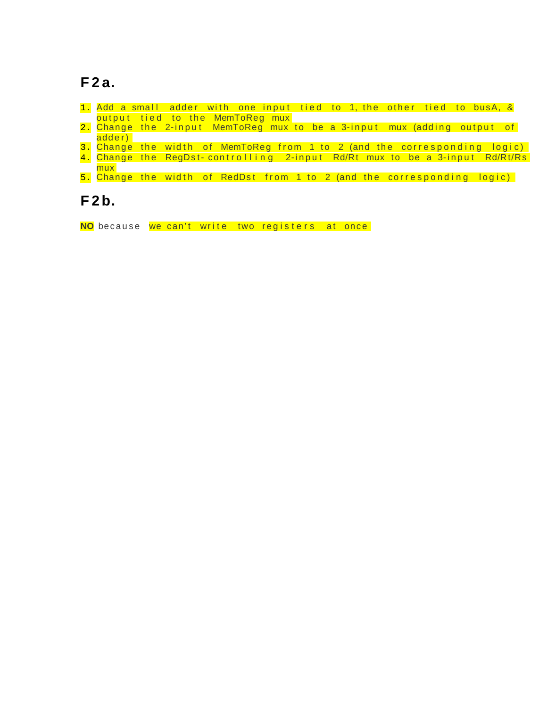# **F 2 a.**

|        | 1. Add a small adder with one input tied to 1, the other tied to busA, & |  |  |                                                                             |
|--------|--------------------------------------------------------------------------|--|--|-----------------------------------------------------------------------------|
|        | output tied to the MemToReg mux                                          |  |  |                                                                             |
|        |                                                                          |  |  | 2. Change the 2-input MemToReg mux to be a 3-input mux (adding output of    |
| adder) |                                                                          |  |  |                                                                             |
|        |                                                                          |  |  | 3. Change the width of MemToReg from 1 to 2 (and the corresponding logic)   |
|        |                                                                          |  |  | 4. Change the RegDst-controlling 2-input Rd/Rt mux to be a 3-input Rd/Rt/Rs |
| mux    |                                                                          |  |  |                                                                             |

5. Change the width of RedDst from 1 to 2 (and the corresponding logic)

# **F 2b.**

NO because we can't write two registers at once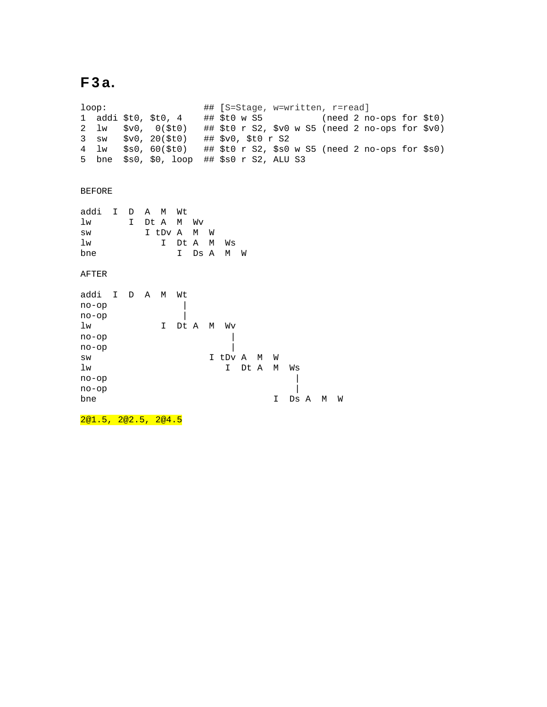# **F 3 a.**

loop: ## [S=Stage, w=written, r=read] ## \$t0 w S5 (need 2 no-ops for \$t0) 2 lw \$v0, 0(\$t0) ## \$t0 r S2, \$v0 w S5 (need 2 no-ops for \$v0) 3 sw \$v0, 20(\$t0) ## \$v0, \$t0 r S2 4 lw \$s0, 60(\$t0) ## \$t0 r S2, \$s0 w S5 (need 2 no-ops for \$s0) 5 bne \$s0, \$0, loop ## \$s0 r S2, ALU S3 BEFORE addi I D A M Wt lw I Dt A M Wv sw I tDv A M W lw I Dt A M Ws bne I Ds A M W AFTER addi I D A M Wt  $no-op$  |  $no-op$  | lw I Dt A M Wv  $no-op$  |  $no-op$  | sw I tDv A M W lw I Dt A M Ws  $no-op$  |  $\qquad \qquad$  |  $no-op$  | bne I Ds A M W

2@1.5, 2@2.5, 2@4.5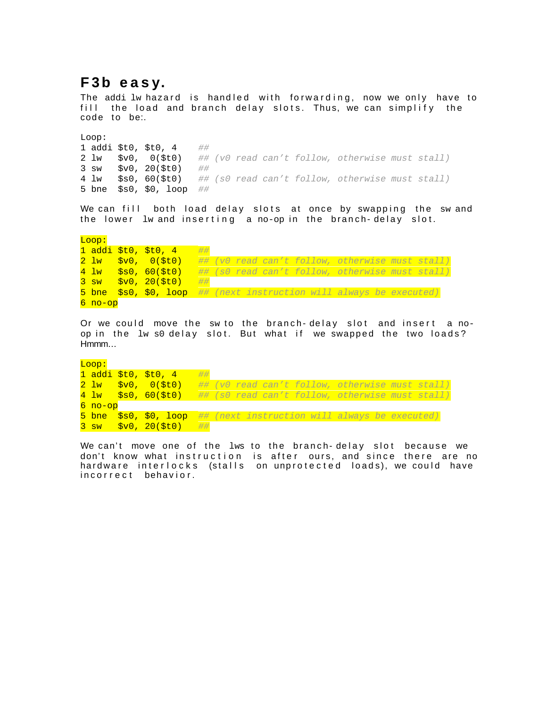# **F 3b e a s y.**

The addi lw hazard is hand led with forwarding, now we only have to fill the load and branch delay slots. Thus, we can simplify the code to be:.

Loop: 1 addi \$t0, \$t0, 4  $\#$  $2 \text{ lw}$   $$v0, 0 ($t0)$  ## (v0 read can't follow, otherwise must stall)  $3 \text{ sw} \quad \text{sv0.} 20(5t0) \quad \#$ # 4 lw \$s0, 60(\$t0) ## (s0 read can't follow, otherwise must stall) 5 bne \$s0, \$0, loop ##

We can fill both load delay slots at once by swapping the  $sw$  and the lower lw and inserting a no-op in the branch-delay slot.

Loop:  $1$  addi \$t0, \$t0, 4 ##  $2 \text{ lw}$   $$v0, 0 ($t0)$  ## (v0 read can't follow, otherwise must stall)  $4 \text{ lw}$  \$80, 60(\$t0) ## (s0 read can't follow, otherwise must stall)  $3 \text{ sw }$   $$v0, 20 ($t0)$   $#$  $5$  bne  $$s0, $0,$  loop  $##$  (next instruction will always be executed) 6 no-op

Or we could move the sw to the branch-delay slot and insert a noop in the lw s0 delay slot. But what if we swapped the two loads? Hmmm…

Loop: 1 addi  $$t0, $t0, 4$  ##  $2 \text{ lw}$   $$v0, 0 ($t0)$  ## (v0 read can't follow, otherwise must stall)  $4 \text{ lw}$  \$80, 60(\$t0) ## (s0 read can't follow, otherwise must stall) 6 no-op 5 bne \$s0, \$0, loop ## (next instruction will always be executed)  $3$  sw  $$v0, 20 ($t0)$  ##

We can't move one of the  $lws$  to the branch-delay slot because we don't know what instruction is after ours, and since there are no hardware interlocks (stalls on unprotected loads), we could have incorrect behavior.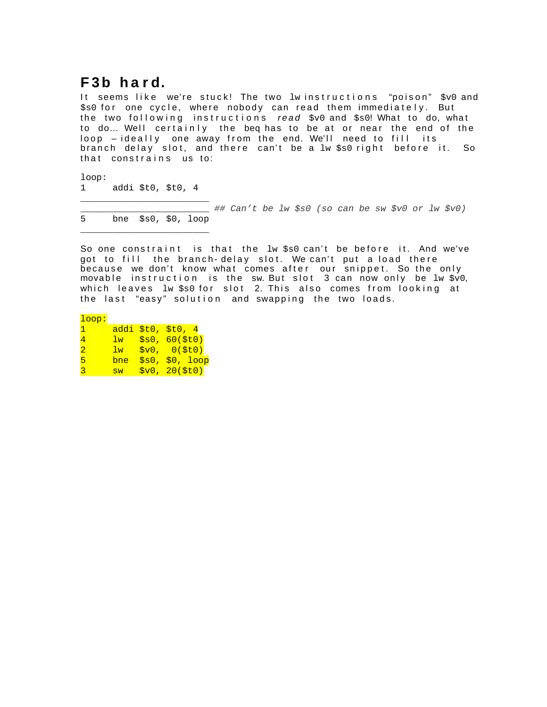# **F 3b h a r d.**

It seems like we're stuck! The two  $1$ winstructions "poison"  $\rm{ s\,v0}$  and  $$s0$  for one cycle, where nobody can read them immediately. But the two following instructions read \$v0 and \$s0! What to do, what to do... Well certainly the beq has to be at or near the end of the loop - ideally one away from the end. We'll need to fill its branch de lay slot, and the re can't be a  $1w$   $5s0$  right before it. So that constrains us to:

loop: 1 addi \$t0, \$t0, 4

\_\_\_\_\_\_\_\_\_\_\_\_\_\_\_\_\_\_\_\_\_\_\_\_

\_\_\_\_\_\_\_\_\_\_\_\_\_\_\_\_\_\_\_\_\_\_\_\_

\_\_\_\_\_\_\_\_\_\_\_\_\_\_\_\_\_\_\_\_\_\_\_\_ ## Can't be lw \$s0 (so can be sw \$v0 or lw \$v0) 5 bne \$s0, \$0, loop

So one constraint is that the  $\text{lw}$  ss0 can't be before it. And we've got to fill the branch-delay slot. We can't put a load there because we don't know what comes after our snippet. So the only movable instruction is the  $\mathop{\mathsf{sw}}\nolimits.$  But slot 3 can now only be  $1\mathsf{w}$   $\mathop{\mathsf{sv}}\nolimits$ which leaves lw \$s0 for slot 2. This also comes from looking at the last "easy" solution and swapping the two loads.

loop:

| п.                    |                | $addi$ $$t0, $t0, 4$ |
|-----------------------|----------------|----------------------|
| 4                     | $\frac{1}{2}w$ | \$s0, 60 (\$t0)      |
| $\mathcal{D}_{\cdot}$ | 1w             | \$v0, 0 (\$t0)       |
| 5.                    | bne            | \$s0, \$0, 100p      |
| З.                    | <b>SW</b>      | \$v0, 20 (\$t0)      |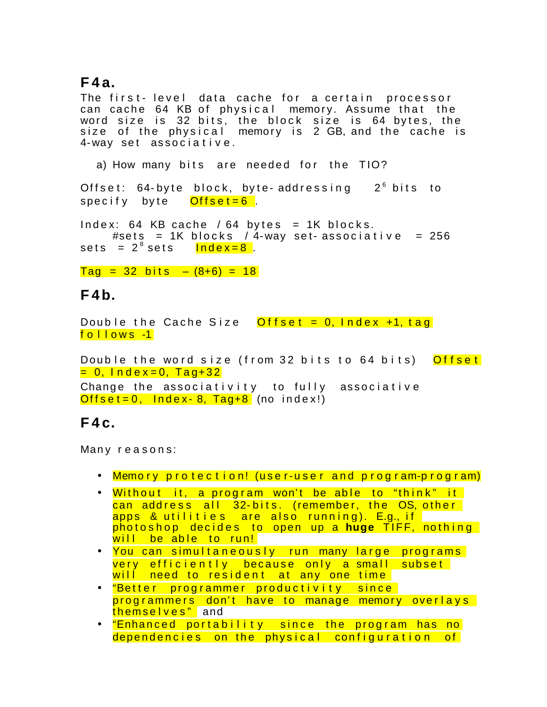### **F 4 a.**

The first-level data cache for a certain processor can cache 64 KB of physical memory. Assume that the word size is 32 bits, the block size is 64 bytes, the size of the physical memory is 2 GB,and the cache is 4-way set associative.

a) How many bits are needed for the TIO?

Offset: 64-byte block, byte-addressing  $2^6$  bits to specify byte <mark>Offset=6</mark>.

 $Index: 64$  KB cache / 64 bytes = 1K blocks. #sets = 1K blocks / 4-way set-associative = 256 sets = 2<sup>8</sup> sets <mark>Index=8</mark> .

 $Taq = 32 \text{ bits } - (8+6) = 18$ 

### **F 4b.**

Double the Cache Size  $Offset = 0$ , Index  $+1$ , tag follows -1

Double the word size (from 32 bits to 64 bits) Offset <mark>= 0, Index=0, Tag+32</mark> Change the associativity to fully associative  $Offset = 0$ , Index - 8, Tag + 8 (no index!)

### **F 4 c.**

Many reasons:

- Memory protection! (user-user and program-program)
- Without it, a program won't be able to "think" it can address all 32-bits. (remember, the OS, other apps & utilities are also running). E.g., if photoshop decides to open up a huge TIFF, nothing will be able to run!
- You can simultaneously run many large programs very efficiently because only a small subset will need to resident at any one time
- <mark>"Better programmer productivity since</mark> programmers don't have to manage memory overlays themselves" and
- "Enhanced portability since the program has no dependencies on the physical configuration of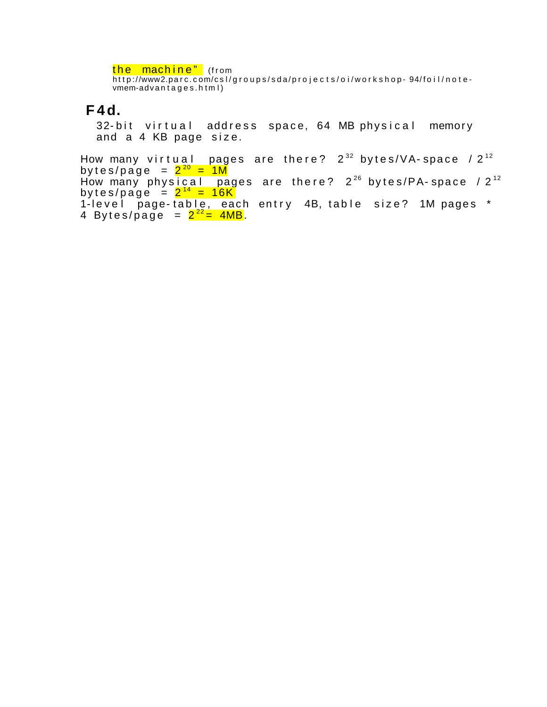<mark>the machine"</mark> (from http://www2.parc.com/csl/groups/sda/projects/oi/workshop- 94/foil/notevmem-advantages.html)

#### **F 4d.**

32-bit virtual address space, 64 MB physical memory and a 4 KB page size.

How many virtual pages are there? 2 $^{\rm 32}$  bytes/VA–space /2 $^{\rm 12}$ bytes/page = <mark>2<sup>20</sup> = 1M</mark> How many physical pages are there? 2 $^{26}$  bytes/PA–space /2 $^{12}$ bytes/page = <mark>2<sup>14</sup> = 16K</mark> 1-level page-table, each entry 4B, table size? 1M pages \* 4 Bytes/page =  $2^{22}$  = 4MB.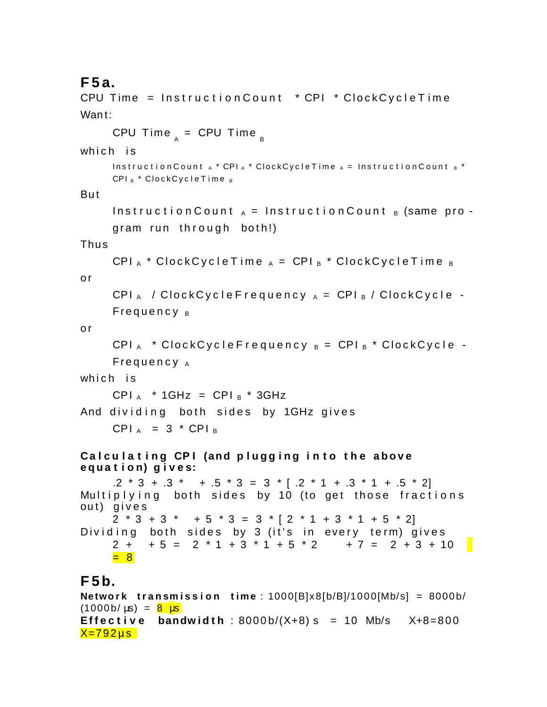# **F 5 a.**

```
CPU Time = InstructionCount * CPI * ClockCycleTimeWant:
     CPU Time _{_{\sf A}} = CPU Time _{_{\sf B}}which is
     Instructor Council A * CPI_A * ClockCycleTime A = InstructionCount B *CPI<sub>B</sub> * Clock Cycle Time<sub>B</sub>
Bu t
     Instruction Count _A = Instruction Count _B (same pro -
     gram run through both!)
Thu s
     CPI _A * Clock Cycle Time _A = CPI_B * Clock Cycle Time _Bo r
     CPI _A / Clock Cycle Frequency _A = CPI_B / Clock Cycle -
     Frequency _Bo r
     CPI_A * Clock Cycle Frequency _B = CPI_B * Clock Cycle -
     Frequency<sub>A</sub>which is
     CPI _A * 1GHz = CPI _B * 3GHz
And dividing both sides by 1GHz gives
     CPI _A = 3 * CPI _BCalculating CPI (and plugging into the above
e q u a t i o n) g i v e s:
     .2 \times 3 + .3 \times 7 + .5 \times 3 = 3 \times 7 + .2 \times 1 + .3 \times 1 + .5 \times 2Multiplying both sides by 10 (to get those fractions
out) gives
     2 * 3 + 3 * + 5 * 3 = 3 * 2 * 1 + 3 * 1 + 5 * 21Dividing both sides by 3 (it's in every term) gives
     2 + + 5 = 2 * 1 + 3 * 1 + 5 * 2 + 7 = 2 + 3 + 10
     = 8
F 5b.
```
#### **Network transmission time**:  $1000[B]x8[b/B]/1000[Mb/s] = 8000b/$  $(1000 b/\mu s) = 8 \mu s$ **Effective bandwidth**: 8000b/(X+8) s = 10 Mb/s  $X+8=800$  $X=792 \mu s$